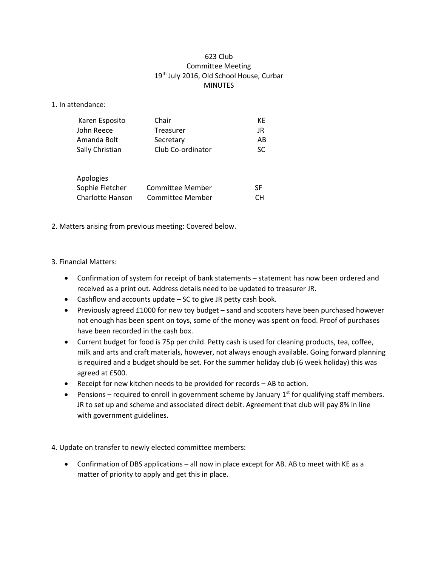### 623 Club Committee Meeting 19<sup>th</sup> July 2016, Old School House, Curbar **MINUTES**

1. In attendance:

| Karen Esposito   | Chair             | КE |
|------------------|-------------------|----|
| John Reece       | Treasurer         | JR |
| Amanda Bolt      | Secretary         | AB |
| Sally Christian  | Club Co-ordinator | SC |
| Apologies        |                   |    |
| Sophie Fletcher  | Committee Member  | SF |
| Charlotte Hanson | Committee Member  |    |

2. Matters arising from previous meeting: Covered below.

### 3. Financial Matters:

- Confirmation of system for receipt of bank statements statement has now been ordered and received as a print out. Address details need to be updated to treasurer JR.
- Cashflow and accounts update SC to give JR petty cash book.
- Previously agreed £1000 for new toy budget sand and scooters have been purchased however not enough has been spent on toys, some of the money was spent on food. Proof of purchases have been recorded in the cash box.
- Current budget for food is 75p per child. Petty cash is used for cleaning products, tea, coffee, milk and arts and craft materials, however, not always enough available. Going forward planning is required and a budget should be set. For the summer holiday club (6 week holiday) this was agreed at £500.
- Receipt for new kitchen needs to be provided for records AB to action.
- Pensions required to enroll in government scheme by January  $1<sup>st</sup>$  for qualifying staff members. JR to set up and scheme and associated direct debit. Agreement that club will pay 8% in line with government guidelines.

4. Update on transfer to newly elected committee members:

• Confirmation of DBS applications – all now in place except for AB. AB to meet with KE as a matter of priority to apply and get this in place.